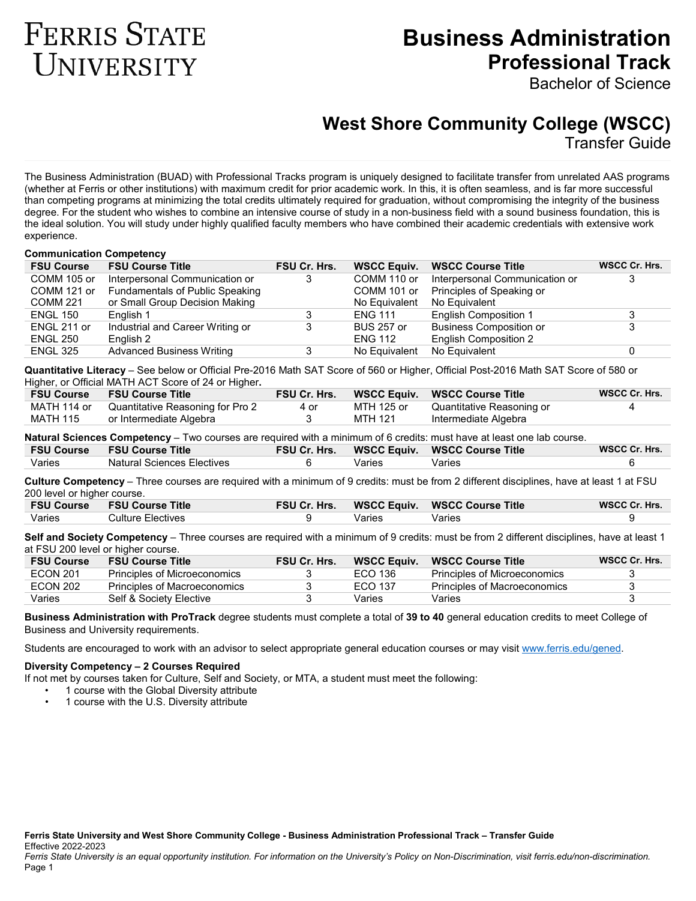# **FERRIS STATE** UNIVERSITY

## **Business Administration Professional Track**

Bachelor of Science

### **West Shore Community College (WSCC)**

Transfer Guide

The Business Administration (BUAD) with Professional Tracks program is uniquely designed to facilitate transfer from unrelated AAS programs (whether at Ferris or other institutions) with maximum credit for prior academic work. In this, it is often seamless, and is far more successful than competing programs at minimizing the total credits ultimately required for graduation, without compromising the integrity of the business degree. For the student who wishes to combine an intensive course of study in a non-business field with a sound business foundation, this is the ideal solution. You will study under highly qualified faculty members who have combined their academic credentials with extensive work experience.

#### **Communication Competency**

| <b>FSU Course</b> | <b>FSU Course Title</b>          | <b>FSU Cr. Hrs.</b> | <b>WSCC Equiv.</b> | <b>WSCC Course Title</b>       | <b>WSCC Cr. Hrs.</b> |
|-------------------|----------------------------------|---------------------|--------------------|--------------------------------|----------------------|
| COMM 105 or       | Interpersonal Communication or   |                     | COMM 110 or        | Interpersonal Communication or |                      |
| COMM 121 or       | Fundamentals of Public Speaking  |                     | COMM 101 or        | Principles of Speaking or      |                      |
| <b>COMM 221</b>   | or Small Group Decision Making   |                     | No Equivalent      | No Equivalent                  |                      |
| ENGL 150          | English 1                        |                     | <b>ENG 111</b>     | <b>English Composition 1</b>   |                      |
| ENGL 211 or       | Industrial and Career Writing or |                     | <b>BUS 257 or</b>  | <b>Business Composition or</b> |                      |
| <b>ENGL 250</b>   | English 2                        |                     | <b>ENG 112</b>     | <b>English Composition 2</b>   |                      |
| <b>ENGL 325</b>   | <b>Advanced Business Writing</b> |                     | No Equivalent      | No Equivalent                  |                      |

**Quantitative Literacy** – See below or Official Pre-2016 Math SAT Score of 560 or Higher, Official Post-2016 Math SAT Score of 580 or Higher, or Official MATH ACT Score of 24 or Higher**.**

| <b>FSU Course</b> | <b>FSU Course Title</b>                                                 | FSU Cr. Hrs. |                       | WSCC Equiv. WSCC Course Title                     | <b>WSCC Cr. Hrs.</b> |
|-------------------|-------------------------------------------------------------------------|--------------|-----------------------|---------------------------------------------------|----------------------|
| <b>MATH 115</b>   | MATH 114 or Quantitative Reasoning for Pro 2<br>or Intermediate Algebra | 4 or         | MTH 125 or<br>MTH 121 | Quantitative Reasoning or<br>Intermediate Algebra |                      |
|                   |                                                                         |              |                       |                                                   |                      |

**Natural Sciences Competency** – Two courses are required with a minimum of 6 credits: must have at least one lab course.

| <b>FSU Course</b> | <b>FSU Course Title</b>    | <b>FSU Cr. Hrs.</b> |        | <b>WSCC Equiv. WSCC Course Title</b> | WSCC Cr. Hrs. |
|-------------------|----------------------------|---------------------|--------|--------------------------------------|---------------|
| Varies            | Natural Sciences Electives |                     | Varies | Varies                               |               |

**Culture Competency** – Three courses are required with a minimum of 9 credits: must be from 2 different disciplines, have at least 1 at FSU 200 level or higher course.

| <b>FSU Course</b> | <b>FSU Course Title</b> | <b>FSU Cr. Hrs.</b> |        | WSCC Equiv.  WSCC Course Title | WSCC Cr. Hrs. |
|-------------------|-------------------------|---------------------|--------|--------------------------------|---------------|
| Varies            | Culture Electives       |                     | Varies | Varies                         |               |

**Self and Society Competency** – Three courses are required with a minimum of 9 credits: must be from 2 different disciplines, have at least 1 at FSU 200 level or higher course.

| <b>FSU Course</b> | <b>FSU Course Title</b>      | <b>FSU Cr. Hrs.</b> | <b>WSCC Equiv.</b> | <b>WSCC Course Title</b>     | WSCC Cr. Hrs. |
|-------------------|------------------------------|---------------------|--------------------|------------------------------|---------------|
| <b>ECON 201</b>   | Principles of Microeconomics |                     | FCO 136            | Principles of Microeconomics |               |
| ECON 202          | Principles of Macroeconomics |                     | FCO 137            | Principles of Macroeconomics |               |
| Varies            | Self & Society Elective      |                     | Varies             | Varies                       |               |

**Business Administration with ProTrack** degree students must complete a total of **39 to 40** general education credits to meet College of Business and University requirements.

Students are encouraged to work with an advisor to select appropriate general education courses or may visit [www.ferris.edu/gened.](http://www.ferris.edu/gened)

#### **Diversity Competency – 2 Courses Required**

If not met by courses taken for Culture, Self and Society, or MTA, a student must meet the following:

- 1 course with the Global Diversity attribute
- 1 course with the U.S. Diversity attribute

*Ferris State University is an equal opportunity institution. For information on the University's Policy on Non-Discrimination, visit ferris.edu/non-discrimination.* Page 1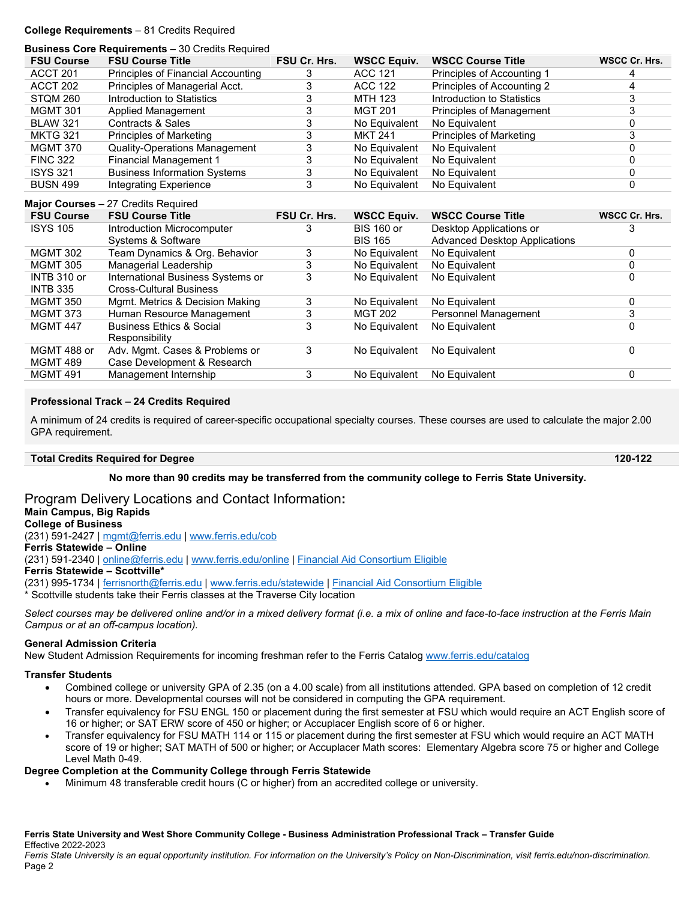#### **College Requirements** – 81 Credits Required

#### **Business Core Requirements** – 30 Credits Required

| <b>FSU Course</b> | <b>FSU Course Title</b>              | FSU Cr. Hrs. | <b>WSCC Equiv.</b> | <b>WSCC Course Title</b>        | <b>WSCC Cr. Hrs.</b> |
|-------------------|--------------------------------------|--------------|--------------------|---------------------------------|----------------------|
| ACCT 201          | Principles of Financial Accounting   |              | ACC 121            | Principles of Accounting 1      |                      |
| ACCT 202          | Principles of Managerial Acct.       |              | ACC 122            | Principles of Accounting 2      |                      |
| STQM 260          | Introduction to Statistics           |              | MTH 123            | Introduction to Statistics      |                      |
| <b>MGMT 301</b>   | Applied Management                   |              | MGT 201            | <b>Principles of Management</b> |                      |
| <b>BLAW 321</b>   | Contracts & Sales                    |              | No Equivalent      | No Equivalent                   |                      |
| <b>MKTG 321</b>   | <b>Principles of Marketing</b>       |              | MKT 241            | <b>Principles of Marketing</b>  |                      |
| <b>MGMT 370</b>   | <b>Quality-Operations Management</b> |              | No Equivalent      | No Equivalent                   |                      |
| <b>FINC 322</b>   | <b>Financial Management 1</b>        |              | No Equivalent      | No Equivalent                   |                      |
| <b>ISYS 321</b>   | <b>Business Information Systems</b>  |              | No Equivalent      | No Equivalent                   |                      |
| <b>BUSN 499</b>   | Integrating Experience               |              | No Equivalent      | No Equivalent                   |                      |

|                   | <b>Major Courses</b> – 27 Credits Required |              |                    |                                      |                      |  |  |
|-------------------|--------------------------------------------|--------------|--------------------|--------------------------------------|----------------------|--|--|
| <b>FSU Course</b> | <b>FSU Course Title</b>                    | FSU Cr. Hrs. | <b>WSCC Equiv.</b> | <b>WSCC Course Title</b>             | <b>WSCC Cr. Hrs.</b> |  |  |
| <b>ISYS 105</b>   | Introduction Microcomputer                 |              | <b>BIS 160 or</b>  | Desktop Applications or              | O                    |  |  |
|                   | Systems & Software                         |              | <b>BIS 165</b>     | <b>Advanced Desktop Applications</b> |                      |  |  |
| <b>MGMT 302</b>   | Team Dynamics & Org. Behavior              | 3            | No Equivalent      | No Equivalent                        | 0                    |  |  |
| <b>MGMT 305</b>   | Managerial Leadership                      |              | No Equivalent      | No Equivalent                        | O                    |  |  |
| INTB 310 or       | International Business Systems or          | 3            | No Equivalent      | No Equivalent                        |                      |  |  |
| <b>INTB 335</b>   | <b>Cross-Cultural Business</b>             |              |                    |                                      |                      |  |  |
| <b>MGMT 350</b>   | Mamt. Metrics & Decision Making            | 3            | No Equivalent      | No Equivalent                        | 0                    |  |  |
| <b>MGMT 373</b>   | Human Resource Management                  |              | <b>MGT 202</b>     | <b>Personnel Management</b>          | 3                    |  |  |
| <b>MGMT 447</b>   | <b>Business Ethics &amp; Social</b>        | 3            | No Equivalent      | No Equivalent                        |                      |  |  |
|                   | Responsibility                             |              |                    |                                      |                      |  |  |
| MGMT 488 or       | Adv. Mgmt. Cases & Problems or             | 3            | No Equivalent      | No Equivalent                        | 0                    |  |  |
| <b>MGMT 489</b>   | Case Development & Research                |              |                    |                                      |                      |  |  |
| <b>MGMT 491</b>   | Management Internship                      | 3            | No Equivalent      | No Equivalent                        | 0                    |  |  |
|                   |                                            |              |                    |                                      |                      |  |  |

#### **Professional Track – 24 Credits Required**

A minimum of 24 credits is required of career-specific occupational specialty courses. These courses are used to calculate the major 2.00 GPA requirement.

#### **Total Credits Required for Degree 120-122**

#### **No more than 90 credits may be transferred from the community college to Ferris State University.**

Program Delivery Locations and Contact Information**: Main Campus, Big Rapids College of Business** (231) 591-2427 [| mgmt@ferris.edu](mailto:mgmt@ferris.edu) | [www.ferris.edu/cob](http://www.ferris.edu/cob) **Ferris Statewide – Online** (231) 591-2340 [| online@ferris.edu](mailto:online@ferris.edu) [| www.ferris.edu/online](http://www.ferris.edu/online) | [Financial Aid Consortium Eligible](https://www.ferris.edu/admissions/financialaid/consortiumarrangements.htm) **Ferris Statewide – Scottville\*** (231) 995-1734 [| ferrisnorth@ferris.edu](mailto:ferrisnorth@ferris.edu) | [www.ferris.edu/statewide](http://www.ferris.edu/statewide) | [Financial Aid Consortium Eligible](https://www.ferris.edu/admissions/financialaid/consortiumarrangements.htm) Scottville students take their Ferris classes at the Traverse City location

*Select courses may be delivered online and/or in a mixed delivery format (i.e. a mix of online and face-to-face instruction at the Ferris Main Campus or at an off-campus location).*

#### **General Admission Criteria**

New Student Admission Requirements for incoming freshman refer to the Ferris Catalog [www.ferris.edu/catalog](http://www.ferris.edu/catalog)

#### **Transfer Students**

- Combined college or university GPA of 2.35 (on a 4.00 scale) from all institutions attended. GPA based on completion of 12 credit hours or more. Developmental courses will not be considered in computing the GPA requirement.
- Transfer equivalency for FSU ENGL 150 or placement during the first semester at FSU which would require an ACT English score of 16 or higher; or SAT ERW score of 450 or higher; or Accuplacer English score of 6 or higher.
- Transfer equivalency for FSU MATH 114 or 115 or placement during the first semester at FSU which would require an ACT MATH score of 19 or higher; SAT MATH of 500 or higher; or Accuplacer Math scores: Elementary Algebra score 75 or higher and College Level Math 0-49.

#### **Degree Completion at the Community College through Ferris Statewide**

• Minimum 48 transferable credit hours (C or higher) from an accredited college or university.

**Ferris State University and West Shore Community College - Business Administration Professional Track – Transfer Guide** Effective 2022-2023

*Ferris State University is an equal opportunity institution. For information on the University's Policy on Non-Discrimination, visit ferris.edu/non-discrimination.* Page 2